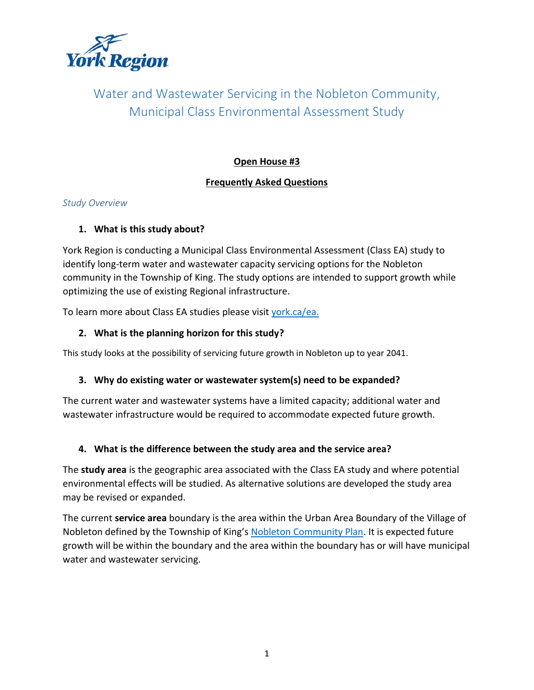

# Water and Wastewater Servicing in the Nobleton Community, Municipal Class Environmental Assessment Study

### **Open House #3**

### **Frequently Asked Questions**

#### *Study Overview*

#### **1. What is this study about?**

York Region is conducting a Municipal Class Environmental Assessment (Class EA) study to identify long-term water and wastewater capacity servicing options for the Nobleton community in the Township of King. The study options are intended to support growth while optimizing the use of existing Regional infrastructure.

To learn more about Class EA studies please visit [york.ca/ea.](http://www.york.ca/ea)

# **2. What is the planning horizon for this study?**

This study looks at the possibility of servicing future growth in Nobleton up to year 2041.

#### **3. Why do existing water or wastewater system(s) need to be expanded?**

The current water and wastewater systems have a limited capacity; additional water and wastewater infrastructure would be required to accommodate expected future growth.

#### **4. What is the difference between the study area and the service area?**

The **study area** is the geographic area associated with the Class EA study and where potential environmental effects will be studied. As alternative solutions are developed the study area may be revised or expanded.

The current **service area** boundary is the area within the Urban Area Boundary of the Village of Nobleton defined by the Township of King's [Nobleton Community Plan.](https://www.king.ca/development-growth/planning-land-use/official-plan) It is expected future growth will be within the boundary and the area within the boundary has or will have municipal water and wastewater servicing.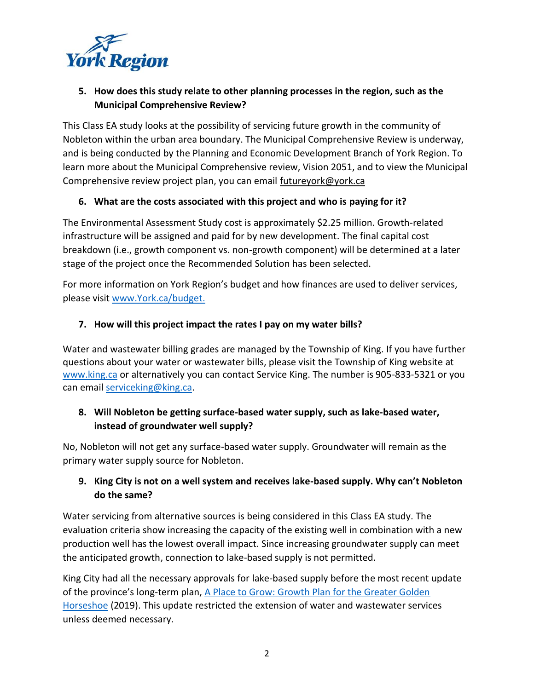

# **5. How does this study relate to other planning processes in the region, such as the Municipal Comprehensive Review?**

This Class EA study looks at the possibility of servicing future growth in the community of Nobleton within the urban area boundary. The Municipal Comprehensive Review is underway, and is being conducted by the Planning and Economic Development Branch of York Region. To learn more about the Municipal Comprehensive review, Vision 2051, and to view the Municipal Comprehensive review project plan, you can email [futureyork@york.ca](mailto:futureyork@york.ca)

### **6. What are the costs associated with this project and who is paying for it?**

The Environmental Assessment Study cost is approximately \$2.25 million. Growth-related infrastructure will be assigned and paid for by new development. The final capital cost breakdown (i.e., growth component vs. non-growth component) will be determined at a later stage of the project once the Recommended Solution has been selected.

For more information on York Region's budget and how finances are used to deliver services, please visit [www.York.ca/budget.](http://www.york.ca/budget)

### **7. How will this project impact the rates I pay on my water bills?**

Water and wastewater billing grades are managed by the Township of King. If you have further questions about your water or wastewater bills, please visit the Township of King website at [www.king.ca](http://www.king.ca/) or alternatively you can contact Service King. The number is 905-833-5321 or you can email [serviceking@king.ca.](mailto:serviceking@king.ca)

# **8. Will Nobleton be getting surface-based water supply, such as lake-based water, instead of groundwater well supply?**

No, Nobleton will not get any surface-based water supply. Groundwater will remain as the primary water supply source for Nobleton.

# **9. King City is not on a well system and receives lake-based supply. Why can't Nobleton do the same?**

Water servicing from alternative sources is being considered in this Class EA study. The evaluation criteria show increasing the capacity of the existing well in combination with a new production well has the lowest overall impact. Since increasing groundwater supply can meet the anticipated growth, connection to lake-based supply is not permitted.

King City had all the necessary approvals for lake-based supply before the most recent update of the province's long-term plan, [A Place to Grow: Growth Plan for the Greater Golden](https://www.ontario.ca/document/place-grow-growth-plan-greater-golden-horseshoe#:~:text=A%20Place%20to%20Grow%20is,a%20high%20quality%20of%20life.)  [Horseshoe](https://www.ontario.ca/document/place-grow-growth-plan-greater-golden-horseshoe#:~:text=A%20Place%20to%20Grow%20is,a%20high%20quality%20of%20life.) (2019). This update restricted the extension of water and wastewater services unless deemed necessary.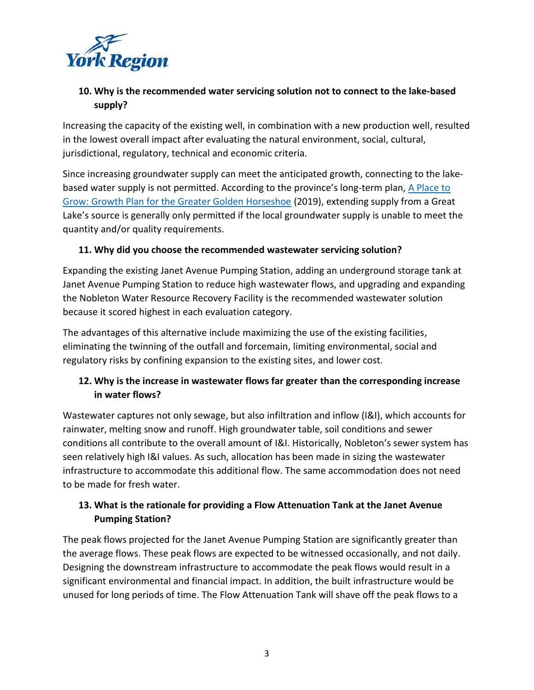

### **10. Why is the recommended water servicing solution not to connect to the lake-based supply?**

Increasing the capacity of the existing well, in combination with a new production well, resulted in the lowest overall impact after evaluating the natural environment, social, cultural, jurisdictional, regulatory, technical and economic criteria.

Since increasing groundwater supply can meet the anticipated growth, connecting to the lakebased water supply is not permitted. According to the province's long-term plan, [A Place to](https://www.ontario.ca/document/place-grow-growth-plan-greater-golden-horseshoe#:~:text=A%20Place%20to%20Grow%20is,a%20high%20quality%20of%20life.)  [Grow: Growth Plan for the Greater Golden Horseshoe](https://www.ontario.ca/document/place-grow-growth-plan-greater-golden-horseshoe#:~:text=A%20Place%20to%20Grow%20is,a%20high%20quality%20of%20life.) (2019), extending supply from a Great Lake's source is generally only permitted if the local groundwater supply is unable to meet the quantity and/or quality requirements.

### **11. Why did you choose the recommended wastewater servicing solution?**

Expanding the existing Janet Avenue Pumping Station, adding an underground storage tank at Janet Avenue Pumping Station to reduce high wastewater flows, and upgrading and expanding the Nobleton Water Resource Recovery Facility is the recommended wastewater solution because it scored highest in each evaluation category.

The advantages of this alternative include maximizing the use of the existing facilities, eliminating the twinning of the outfall and forcemain, limiting environmental, social and regulatory risks by confining expansion to the existing sites, and lower cost.

# **12. Why is the increase in wastewater flows far greater than the corresponding increase in water flows?**

Wastewater captures not only sewage, but also infiltration and inflow (I&I), which accounts for rainwater, melting snow and runoff. High groundwater table, soil conditions and sewer conditions all contribute to the overall amount of I&I. Historically, Nobleton's sewer system has seen relatively high I&I values. As such, allocation has been made in sizing the wastewater infrastructure to accommodate this additional flow. The same accommodation does not need to be made for fresh water.

# **13. What is the rationale for providing a Flow Attenuation Tank at the Janet Avenue Pumping Station?**

The peak flows projected for the Janet Avenue Pumping Station are significantly greater than the average flows. These peak flows are expected to be witnessed occasionally, and not daily. Designing the downstream infrastructure to accommodate the peak flows would result in a significant environmental and financial impact. In addition, the built infrastructure would be unused for long periods of time. The Flow Attenuation Tank will shave off the peak flows to a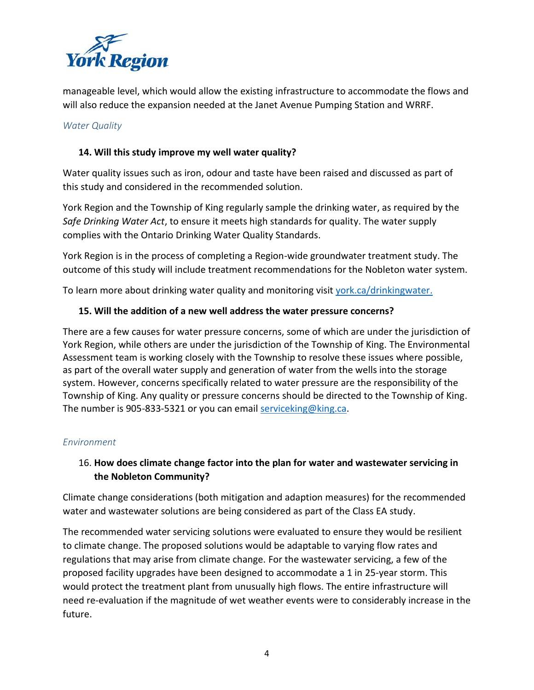

manageable level, which would allow the existing infrastructure to accommodate the flows and will also reduce the expansion needed at the Janet Avenue Pumping Station and WRRF.

#### *Water Quality*

#### **14. Will this study improve my well water quality?**

Water quality issues such as iron, odour and taste have been raised and discussed as part of this study and considered in the recommended solution.

York Region and the Township of King regularly sample the drinking water, as required by the *Safe Drinking Water Act*, to ensure it meets high standards for quality. The water supply complies with the Ontario Drinking Water Quality Standards.

York Region is in the process of completing a Region-wide groundwater treatment study. The outcome of this study will include treatment recommendations for the Nobleton water system.

To learn more about drinking water quality and monitoring visit [york.ca/drinkingwater.](http://www.york.ca/drinkingwater)

#### **15. Will the addition of a new well address the water pressure concerns?**

There are a few causes for water pressure concerns, some of which are under the jurisdiction of York Region, while others are under the jurisdiction of the Township of King. The Environmental Assessment team is working closely with the Township to resolve these issues where possible, as part of the overall water supply and generation of water from the wells into the storage system. However, concerns specifically related to water pressure are the responsibility of the Township of King. Any quality or pressure concerns should be directed to the Township of King. The number is 905-833-5321 or you can email service king@king.ca.

#### *Environment*

# 16. **How does climate change factor into the plan for water and wastewater servicing in the Nobleton Community?**

Climate change considerations (both mitigation and adaption measures) for the recommended water and wastewater solutions are being considered as part of the Class EA study.

The recommended water servicing solutions were evaluated to ensure they would be resilient to climate change. The proposed solutions would be adaptable to varying flow rates and regulations that may arise from climate change. For the wastewater servicing, a few of the proposed facility upgrades have been designed to accommodate a 1 in 25-year storm. This would protect the treatment plant from unusually high flows. The entire infrastructure will need re-evaluation if the magnitude of wet weather events were to considerably increase in the future.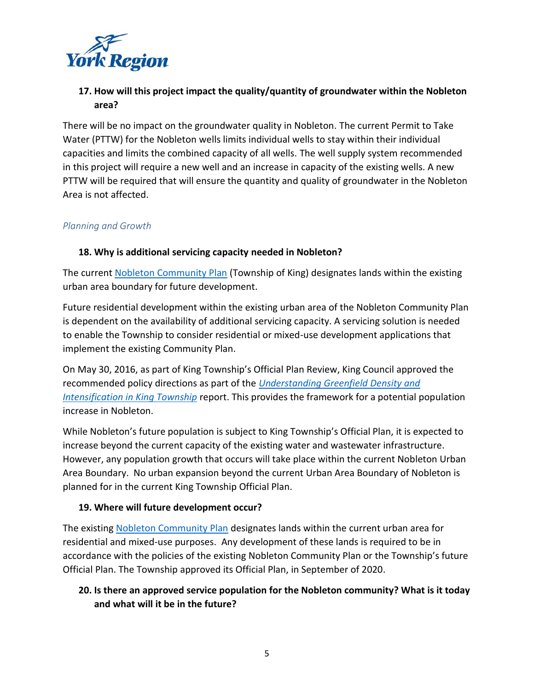

### **17. How will this project impact the quality/quantity of groundwater within the Nobleton area?**

There will be no impact on the groundwater quality in Nobleton. The current Permit to Take Water (PTTW) for the Nobleton wells limits individual wells to stay within their individual capacities and limits the combined capacity of all wells. The well supply system recommended in this project will require a new well and an increase in capacity of the existing wells. A new PTTW will be required that will ensure the quantity and quality of groundwater in the Nobleton Area is not affected.

#### *Planning and Growth*

#### **18. Why is additional servicing capacity needed in Nobleton?**

The current [Nobleton Community Plan](https://www.king.ca/sites/default/files/docs/development-growth/building-septic/Nobleton%20Community%20Plan%20OPA%2057-%20Text%20Only.pdf) (Township of King) designates lands within the existing urban area boundary for future development.

Future residential development within the existing urban area of the Nobleton Community Plan is dependent on the availability of additional servicing capacity. A servicing solution is needed to enable the Township to consider residential or mixed-use development applications that implement the existing Community Plan.

On May 30, 2016, as part of King Township's Official Plan Review, King Council approved the recommended policy directions as part of the *[Understanding Greenfield Density and](https://www.king.ca/sites/default/files/docs/development-growth/planning-land-use/2016-05-16%20Understanding%20Greenfield%20and%20Intensification%20Density%20Report.pdf)  [Intensification in King Township](https://www.king.ca/sites/default/files/docs/development-growth/planning-land-use/2016-05-16%20Understanding%20Greenfield%20and%20Intensification%20Density%20Report.pdf)* report. This provides the framework for a potential population increase in Nobleton.

While Nobleton's future population is subject to King Township's Official Plan, it is expected to increase beyond the current capacity of the existing water and wastewater infrastructure. However, any population growth that occurs will take place within the current Nobleton Urban Area Boundary. No urban expansion beyond the current Urban Area Boundary of Nobleton is planned for in the current King Township Official Plan.

#### **19. Where will future development occur?**

The existing [Nobleton Community Plan](https://www.king.ca/sites/default/files/docs/development-growth/building-septic/Nobleton%20Community%20Plan%20OPA%2057-%20Text%20Only.pdf) designates lands within the current urban area for residential and mixed-use purposes. Any development of these lands is required to be in accordance with the policies of the existing Nobleton Community Plan or the Township's future Official Plan. The Township approved its Official Plan, in September of 2020.

# **20. Is there an approved service population for the Nobleton community? What is it today and what will it be in the future?**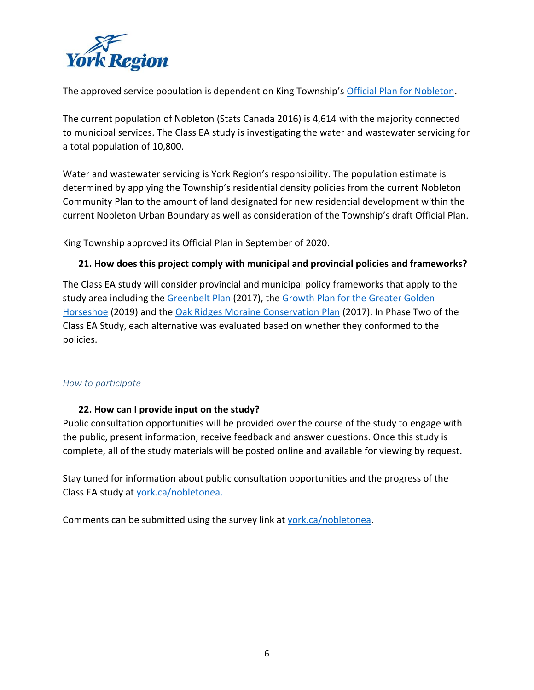

The approved service population is dependent on King Township's [Official Plan for Nobleton.](https://www.king.ca/development-growth/planning-land-use/official-plan)

The current population of Nobleton (Stats Canada 2016) is 4,614 with the majority connected to municipal services. The Class EA study is investigating the water and wastewater servicing for a total population of 10,800.

Water and wastewater servicing is York Region's responsibility. The population estimate is determined by applying the Township's residential density policies from the current Nobleton Community Plan to the amount of land designated for new residential development within the current Nobleton Urban Boundary as well as consideration of the Township's draft Official Plan.

King Township approved its Official Plan in September of 2020.

#### **21. How does this project comply with municipal and provincial policies and frameworks?**

The Class EA study will consider provincial and municipal policy frameworks that apply to the study area including the [Greenbelt Plan](https://www.ontario.ca/document/greenbelt-plan-2017) (2017), th[e Growth Plan for the Greater Golden](https://www.ontario.ca/document/place-grow-growth-plan-greater-golden-horseshoe#:~:text=A%20Place%20to%20Grow%20is,a%20high%20quality%20of%20life.)  [Horseshoe](https://www.ontario.ca/document/place-grow-growth-plan-greater-golden-horseshoe#:~:text=A%20Place%20to%20Grow%20is,a%20high%20quality%20of%20life.) (2019) and the [Oak Ridges Moraine Conservation Plan](https://www.ontario.ca/page/oak-ridges-moraine-conservation-plan-2017) (2017). In Phase Two of the Class EA Study, each alternative was evaluated based on whether they conformed to the policies.

#### *How to participate*

#### **22. How can I provide input on the study?**

Public consultation opportunities will be provided over the course of the study to engage with the public, present information, receive feedback and answer questions. Once this study is complete, all of the study materials will be posted online and available for viewing by request.

Stay tuned for information about public consultation opportunities and the progress of the Class EA study at [york.ca/nobletonea.](http://www.york.ca/nobletonea)

Comments can be submitted using the survey link a[t york.ca/nobletonea.](http://www.york.ca/nobletonea)